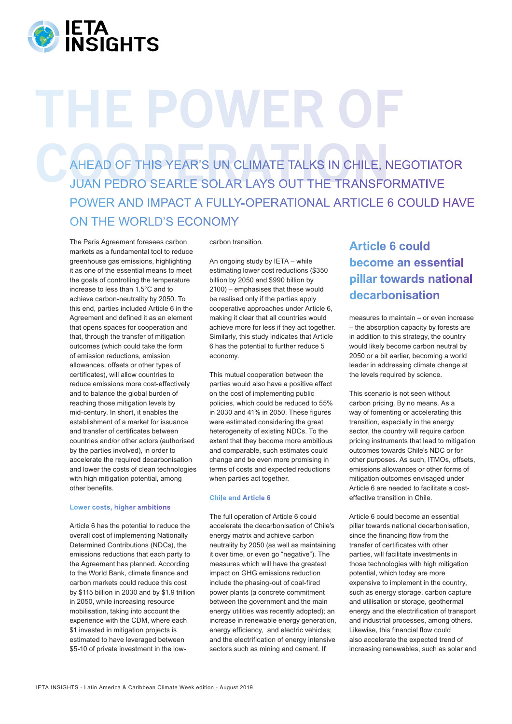

# THE POWER OF

AHEAD OF THIS YEAR'S UN CLIMATE TALKS IN CHILE, NEGOTIATOR JUAN PEDRO SEARLE SOLAR LAYS OUT THE TRANSFORMATIVE POWER AND IMPACT A FULLY-OPERATIONAL ARTICLE 6 COULD HAVE ON THE WORLD'S ECONOMY

The Paris Agreement foresees carbon markets as a fundamental tool to reduce greenhouse gas emissions, highlighting it as one of the essential means to meet the goals of controlling the temperature increase to less than 1.5°C and to achieve carbon-neutrality by 2050. To this end, parties included Article 6 in the Agreement and defined it as an element that opens spaces for cooperation and that, through the transfer of mitigation outcomes (which could take the form of emission reductions, emission allowances, offsets or other types of certificates), will allow countries to reduce emissions more cost-effectively and to balance the global burden of reaching those mitigation levels by mid-century. In short, it enables the establishment of a market for issuance and transfer of certificates between countries and/or other actors (authorised by the parties involved), in order to accelerate the required decarbonisation and lower the costs of clean technologies with high mitigation potential, among other benefits.

### **Lower costs, higher ambitions**

Article 6 has the potential to reduce the overall cost of implementing Nationally Determined Contributions (NDCs), the emissions reductions that each party to the Agreement has planned. According to the World Bank, climate finance and carbon markets could reduce this cost by \$115 billion in 2030 and by \$1.9 trillion in 2050, while increasing resource mobilisation, taking into account the experience with the CDM, where each \$1 invested in mitigation projects is estimated to have leveraged between \$5-10 of private investment in the lowcarbon transition.

An ongoing study by IETA – while estimating lower cost reductions (\$350 billion by 2050 and \$990 billion by 2100) – emphasises that these would be realised only if the parties apply cooperative approaches under Article 6, making it clear that all countries would achieve more for less if they act together. Similarly, this study indicates that Article 6 has the potential to further reduce 5 economy.

This mutual cooperation between the parties would also have a positive effect on the cost of implementing public policies, which could be reduced to 55% in 2030 and 41% in 2050. These figures were estimated considering the great heterogeneity of existing NDCs. To the extent that they become more ambitious and comparable, such estimates could change and be even more promising in terms of costs and expected reductions when parties act together.

# **Chile and Article 6**

The full operation of Article 6 could accelerate the decarbonisation of Chile's energy matrix and achieve carbon neutrality by 2050 (as well as maintaining it over time, or even go "negative"). The measures which will have the greatest impact on GHG emissions reduction include the phasing-out of coal-fired power plants (a concrete commitment between the government and the main energy utilities was recently adopted); an increase in renewable energy generation, energy efficiency, and electric vehicles; and the electrification of energy intensive sectors such as mining and cement. If

# **Article 6 could become an essential pillar towards national decarbonisation**

measures to maintain – or even increase – the absorption capacity by forests are in addition to this strategy, the country would likely become carbon neutral by 2050 or a bit earlier, becoming a world leader in addressing climate change at the levels required by science.

This scenario is not seen without carbon pricing. By no means. As a way of fomenting or accelerating this transition, especially in the energy sector, the country will require carbon pricing instruments that lead to mitigation outcomes towards Chile's NDC or for other purposes. As such, ITMOs, offsets, emissions allowances or other forms of mitigation outcomes envisaged under Article 6 are needed to facilitate a costeffective transition in Chile.

Article 6 could become an essential pillar towards national decarbonisation, since the financing flow from the transfer of certificates with other parties, will facilitate investments in those technologies with high mitigation potential, which today are more expensive to implement in the country, such as energy storage, carbon capture and utilisation or storage, geothermal energy and the electrification of transport and industrial processes, among others. Likewise, this financial flow could also accelerate the expected trend of increasing renewables, such as solar and